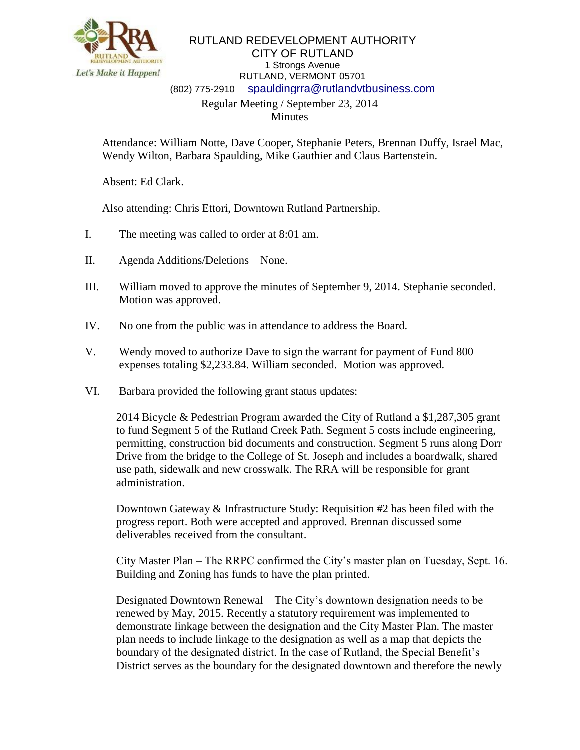

## RUTLAND REDEVELOPMENT AUTHORITY CITY OF RUTLAND 1 Strongs Avenue RUTLAND, VERMONT 05701 (802) 775-2910 [spauldingrra@rutlandvtbusiness.com](mailto:allenrra@rutlandvtbusiness.com) Regular Meeting / September 23, 2014 Minutes

Attendance: William Notte, Dave Cooper, Stephanie Peters, Brennan Duffy, Israel Mac, Wendy Wilton, Barbara Spaulding, Mike Gauthier and Claus Bartenstein.

Absent: Ed Clark.

Also attending: Chris Ettori, Downtown Rutland Partnership.

- I. The meeting was called to order at 8:01 am.
- II. Agenda Additions/Deletions None.
- III. William moved to approve the minutes of September 9, 2014. Stephanie seconded. Motion was approved.
- IV. No one from the public was in attendance to address the Board.
- V. Wendy moved to authorize Dave to sign the warrant for payment of Fund 800 expenses totaling \$2,233.84. William seconded. Motion was approved.
- VI. Barbara provided the following grant status updates:

2014 Bicycle & Pedestrian Program awarded the City of Rutland a \$1,287,305 grant to fund Segment 5 of the Rutland Creek Path. Segment 5 costs include engineering, permitting, construction bid documents and construction. Segment 5 runs along Dorr Drive from the bridge to the College of St. Joseph and includes a boardwalk, shared use path, sidewalk and new crosswalk. The RRA will be responsible for grant administration.

Downtown Gateway & Infrastructure Study: Requisition #2 has been filed with the progress report. Both were accepted and approved. Brennan discussed some deliverables received from the consultant.

City Master Plan – The RRPC confirmed the City's master plan on Tuesday, Sept. 16. Building and Zoning has funds to have the plan printed.

Designated Downtown Renewal – The City's downtown designation needs to be renewed by May, 2015. Recently a statutory requirement was implemented to demonstrate linkage between the designation and the City Master Plan. The master plan needs to include linkage to the designation as well as a map that depicts the boundary of the designated district. In the case of Rutland, the Special Benefit's District serves as the boundary for the designated downtown and therefore the newly